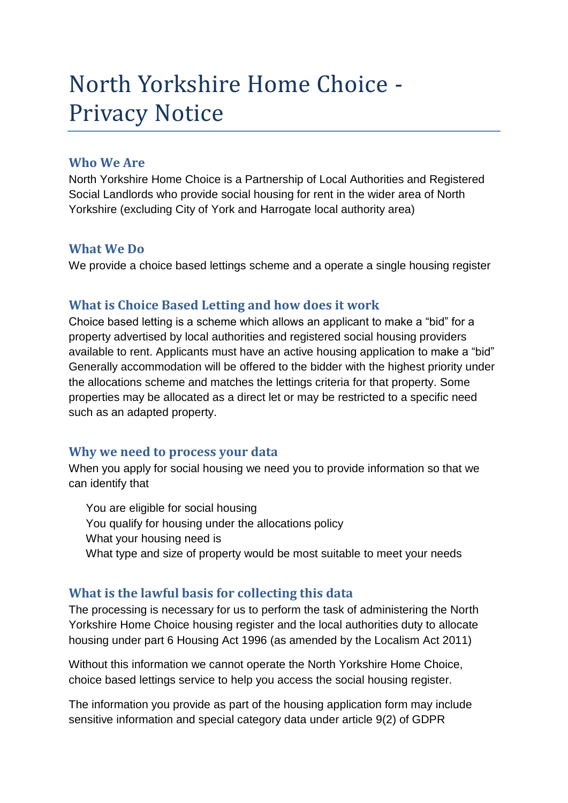# North Yorkshire Home Choice - Privacy Notice

# **Who We Are**

North Yorkshire Home Choice is a Partnership of Local Authorities and Registered Social Landlords who provide social housing for rent in the wider area of North Yorkshire (excluding City of York and Harrogate local authority area)

# **What We Do**

We provide a choice based lettings scheme and a operate a single housing register

# **What is Choice Based Letting and how does it work**

Choice based letting is a scheme which allows an applicant to make a "bid" for a property advertised by local authorities and registered social housing providers available to rent. Applicants must have an active housing application to make a "bid" Generally accommodation will be offered to the bidder with the highest priority under the allocations scheme and matches the lettings criteria for that property. Some properties may be allocated as a direct let or may be restricted to a specific need such as an adapted property.

# **Why we need to process your data**

When you apply for social housing we need you to provide information so that we can identify that

You are eligible for social housing You qualify for housing under the allocations policy What your housing need is What type and size of property would be most suitable to meet your needs

# **What is the lawful basis for collecting this data**

The processing is necessary for us to perform the task of administering the North Yorkshire Home Choice housing register and the local authorities duty to allocate housing under part 6 Housing Act 1996 (as amended by the Localism Act 2011)

Without this information we cannot operate the North Yorkshire Home Choice, choice based lettings service to help you access the social housing register.

The information you provide as part of the housing application form may include sensitive information and special category data under article 9(2) of GDPR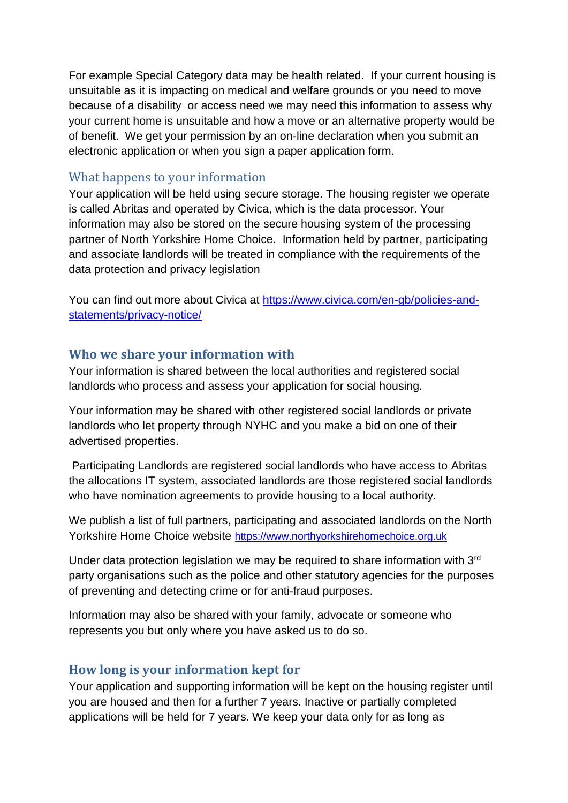For example Special Category data may be health related. If your current housing is unsuitable as it is impacting on medical and welfare grounds or you need to move because of a disability or access need we may need this information to assess why your current home is unsuitable and how a move or an alternative property would be of benefit. We get your permission by an on-line declaration when you submit an electronic application or when you sign a paper application form.

## What happens to your information

Your application will be held using secure storage. The housing register we operate is called Abritas and operated by Civica, which is the data processor. Your information may also be stored on the secure housing system of the processing partner of North Yorkshire Home Choice. Information held by partner, participating and associate landlords will be treated in compliance with the requirements of the data protection and privacy legislation

You can find out more about Civica at [https://www.civica.com/en-gb/policies-and](https://www.civica.com/en-gb/policies-and-statements/privacy-notice/)[statements/privacy-notice/](https://www.civica.com/en-gb/policies-and-statements/privacy-notice/)

### **Who we share your information with**

Your information is shared between the local authorities and registered social landlords who process and assess your application for social housing.

Your information may be shared with other registered social landlords or private landlords who let property through NYHC and you make a bid on one of their advertised properties.

Participating Landlords are registered social landlords who have access to Abritas the allocations IT system, associated landlords are those registered social landlords who have nomination agreements to provide housing to a local authority.

We publish a list of full partners, participating and associated landlords on the North Yorkshire Home Choice website [https://www.northyorkshirehomechoice.org.uk](https://www.northyorkshirehomechoice.org.uk/)

Under data protection legislation we may be required to share information with 3rd party organisations such as the police and other statutory agencies for the purposes of preventing and detecting crime or for anti-fraud purposes.

Information may also be shared with your family, advocate or someone who represents you but only where you have asked us to do so.

# **How long is your information kept for**

Your application and supporting information will be kept on the housing register until you are housed and then for a further 7 years. Inactive or partially completed applications will be held for 7 years. We keep your data only for as long as